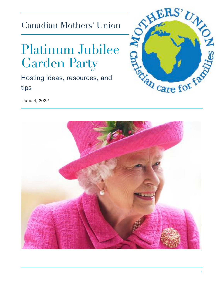Canadian Mothers' Union

# Platinum Jubilee Garden Party

Hosting ideas, resources, and tips



June 4, 2022

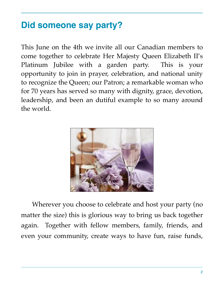# **Did someone say party?**

This June on the 4th we invite all our Canadian members to come together to celebrate Her Majesty Queen Elizabeth II's Platinum Jubilee with a garden party. This is your opportunity to join in prayer, celebration, and national unity to recognize the Queen; our Patron; a remarkable woman who for 70 years has served so many with dignity, grace, devotion, leadership, and been an dutiful example to so many around the world.



Wherever you choose to celebrate and host your party (no matter the size) this is glorious way to bring us back together again. Together with fellow members, family, friends, and even your community, create ways to have fun, raise funds,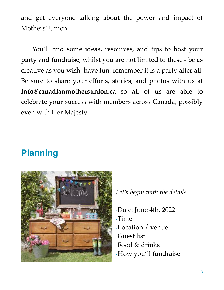and get everyone talking about the power and impact of Mothers' Union.

You'll find some ideas, resources, and tips to host your party and fundraise, whilst you are not limited to these - be as creative as you wish, have fun, remember it is a party after all. Be sure to share your efforts, stories, and photos with us at **info@canadianmothersunion.ca** so all of us are able to celebrate your success with members across Canada, possibly even with Her Majesty.

# **Planning**



#### *Let's begin with the details*

-Date: June 4th, 2022 -Time -Location / venue -Guest list -Food & drinks -How you'll fundraise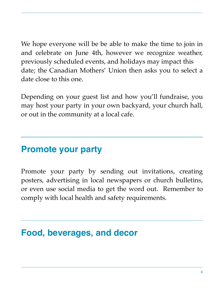We hope everyone will be be able to make the time to join in and celebrate on June 4th, however we recognize weather, previously scheduled events, and holidays may impact this date; the Canadian Mothers' Union then asks you to select a date close to this one.

Depending on your guest list and how you'll fundraise, you may host your party in your own backyard, your church hall, or out in the community at a local cafe.

## **Promote your party**

Promote your party by sending out invitations, creating posters, advertising in local newspapers or church bulletins, or even use social media to get the word out. Remember to comply with local health and safety requirements.

### **Food, beverages, and decor**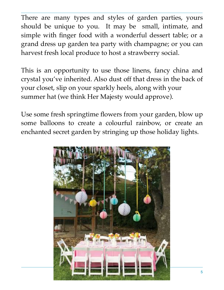There are many types and styles of garden parties, yours should be unique to you. It may be small, intimate, and simple with finger food with a wonderful dessert table; or a grand dress up garden tea party with champagne; or you can harvest fresh local produce to host a strawberry social.

This is an opportunity to use those linens, fancy china and crystal you've inherited. Also dust off that dress in the back of your closet, slip on your sparkly heels, along with your summer hat (we think Her Majesty would approve).

Use some fresh springtime flowers from your garden, blow up some balloons to create a colourful rainbow, or create an enchanted secret garden by stringing up those holiday lights.

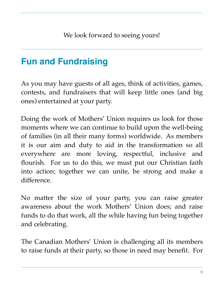# **Fun and Fundraising**

As you may have guests of all ages, think of activities, games, contests, and fundraisers that will keep little ones (and big ones) entertained at your party.

Doing the work of Mothers' Union requires us look for those moments where we can continue to build upon the well-being of families (in all their many forms) worldwide. As members it is our aim and duty to aid in the transformation so all everywhere are more loving, respectful, inclusive and flourish. For us to do this, we must put our Christian faith into action; together we can unite, be strong and make a difference.

No matter the size of your party, you can raise greater awareness about the work Mothers' Union does; and raise funds to do that work, all the while having fun being together and celebrating.

The Canadian Mothers' Union is challenging all its members to raise funds at their party, so those in need may benefit. For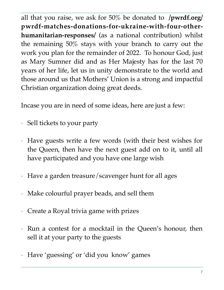all that you raise, we ask for 50% be donated to **/pwrdf.org/ pwrdf-matches-donations-for-ukraine-with-four-otherhumanitarian-responses/** (as a national contribution) whilst the remaining 50% stays with your branch to carry out the work you plan for the remainder of 2022. To honour God, just as Mary Sumner did and as Her Majesty has for the last 70 years of her life, let us in unity demonstrate to the world and those around us that Mothers' Union is a strong and impactful Christian organization doing great deeds.

Incase you are in need of some ideas, here are just a few:

- Sell tickets to your party
- Have guests write a few words (with their best wishes for the Queen, then have the next guest add on to it, until all have participated and you have one large wish
- Have a garden treasure/scavenger hunt for all ages
- Make colourful prayer beads, and sell them
- Create a Royal trivia game with prizes
- Run a contest for a mocktail in the Queen's honour, then sell it at your party to the guests
- Have 'guessing' or 'did you know' games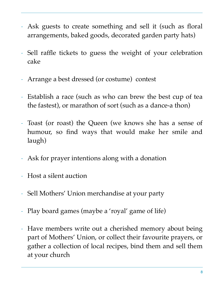- Ask guests to create something and sell it (such as floral arrangements, baked goods, decorated garden party hats)
- Sell raffle tickets to guess the weight of your celebration cake
- Arrange a best dressed (or costume) contest
- Establish a race (such as who can brew the best cup of tea the fastest), or marathon of sort (such as a dance-a thon)
- Toast (or roast) the Queen (we knows she has a sense of humour, so find ways that would make her smile and laugh)
- Ask for prayer intentions along with a donation
- Host a silent auction
- Sell Mothers' Union merchandise at your party
- Play board games (maybe a 'royal' game of life)
- Have members write out a cherished memory about being part of Mothers' Union, or collect their favourite prayers, or gather a collection of local recipes, bind them and sell them at your church